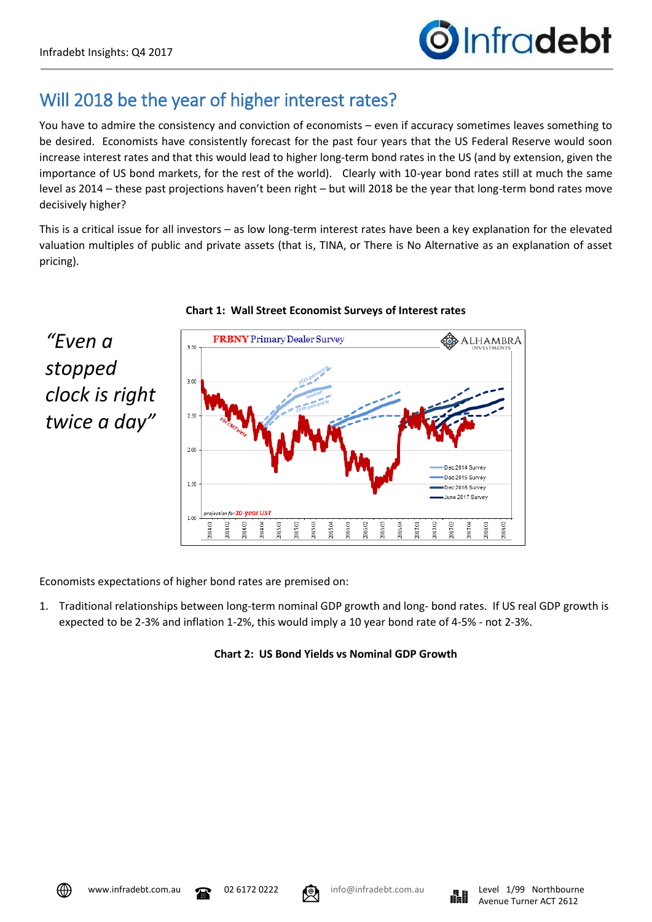*"Even a* 

*stopped* 

## Will 2018 be the year of higher interest rates?

You have to admire the consistency and conviction of economists – even if accuracy sometimes leaves something to be desired. Economists have consistently forecast for the past four years that the US Federal Reserve would soon increase interest rates and that this would lead to higher long-term bond rates in the US (and by extension, given the importance of US bond markets, for the rest of the world). Clearly with 10-year bond rates still at much the same level as 2014 – these past projections haven't been right – but will 2018 be the year that long-term bond rates move decisively higher?

This is a critical issue for all investors – as low long-term interest rates have been a key explanation for the elevated valuation multiples of public and private assets (that is, TINA, or There is No Alternative as an explanation of asset pricing).





Economists expectations of higher bond rates are premised on:

1. Traditional relationships between long-term nominal GDP growth and long- bond rates. If US real GDP growth is expected to be 2-3% and inflation 1-2%, this would imply a 10 year bond rate of 4-5% - not 2-3%.

## **Chart 2: US Bond Yields vs Nominal GDP Growth**



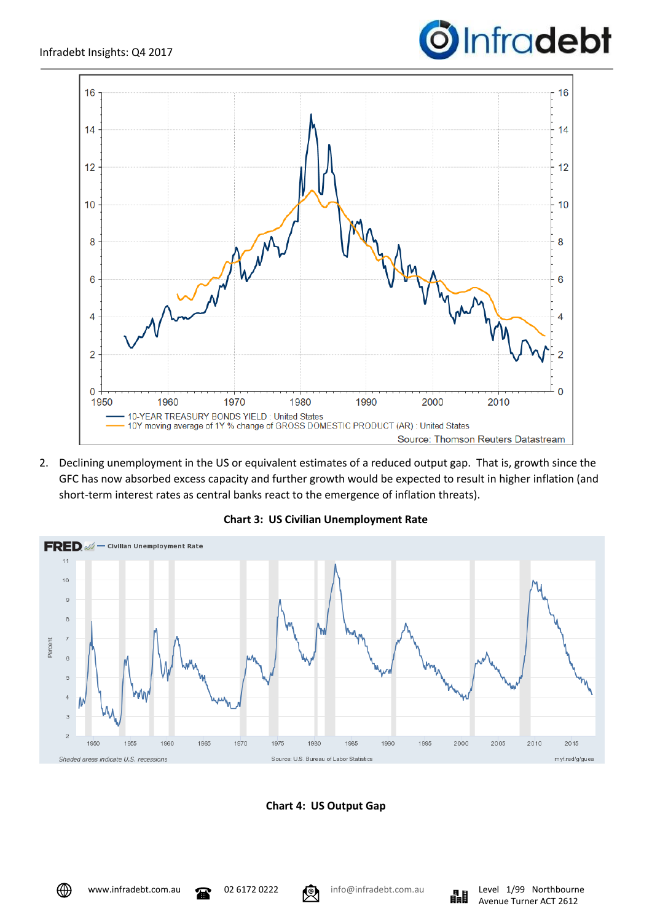



2. Declining unemployment in the US or equivalent estimates of a reduced output gap. That is, growth since the GFC has now absorbed excess capacity and further growth would be expected to result in higher inflation (and short-term interest rates as central banks react to the emergence of inflation threats).



**Chart 3: US Civilian Unemployment Rate**



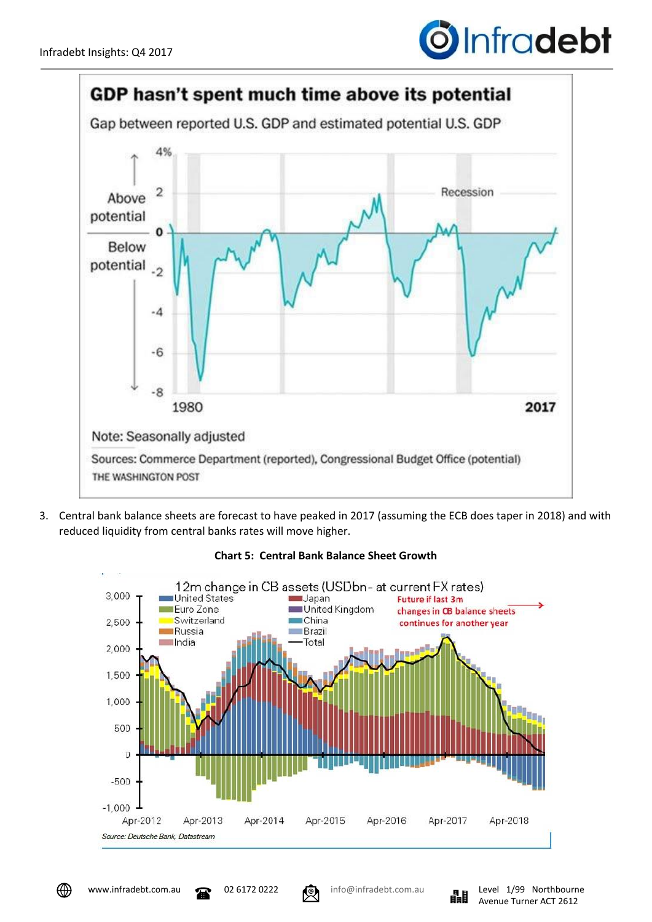



3. Central bank balance sheets are forecast to have peaked in 2017 (assuming the ECB does taper in 2018) and with reduced liquidity from central banks rates will move higher.



## **Chart 5: Central Bank Balance Sheet Growth**